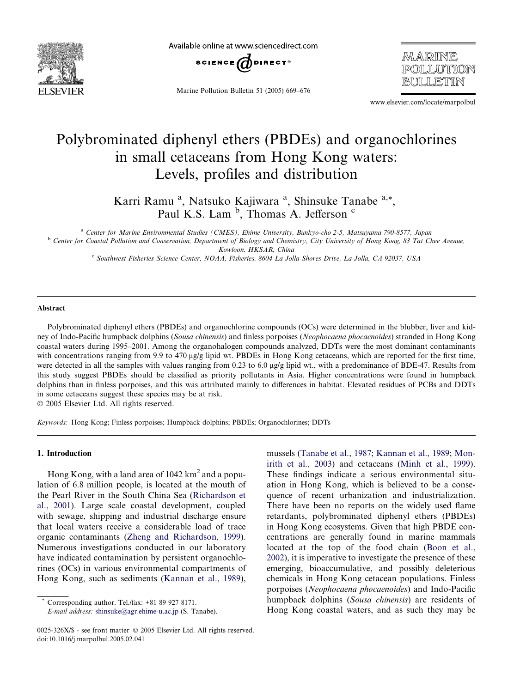

Available online at www.sciencedirect.com



Marine Pollution Bulletin 51 (2005) 669–676

*MARINE* POLLUTION

www.elsevier.com/locate/marpolbul

# Polybrominated diphenyl ethers (PBDEs) and organochlorines in small cetaceans from Hong Kong waters: Levels, profiles and distribution

Karri Ramu<sup>a</sup>, Natsuko Kajiwara<sup>a</sup>, Shinsuke Tanabe<sup>a,\*</sup>, Paul K.S. Lam <sup>b</sup>, Thomas A. Jefferson<sup>c</sup>

<sup>a</sup> Center for Marine Environmental Studies (CMES), Ehime University, Bunkyo-cho 2-5, Matsuyama 790-8577, Japan <sup>b</sup> Center for Coastal Pollution and Conservation, Department of Biology and Chemistry, City University of Hong Kong, 83 Tat Chee Avenue, Kowloon, HKSAR, China

<sup>c</sup> Southwest Fisheries Science Center, NOAA, Fisheries, 8604 La Jolla Shores Drive, La Jolla, CA 92037, USA

#### Abstract

Polybrominated diphenyl ethers (PBDEs) and organochlorine compounds (OCs) were determined in the blubber, liver and kidney of Indo-Pacific humpback dolphins (Sousa chinensis) and finless porpoises (Neophocaena phocaenoides) stranded in Hong Kong coastal waters during 1995–2001. Among the organohalogen compounds analyzed, DDTs were the most dominant contaminants with concentrations ranging from 9.9 to 470  $\mu$ g/g lipid wt. PBDEs in Hong Kong cetaceans, which are reported for the first time, were detected in all the samples with values ranging from 0.23 to 6.0 µg/g lipid wt., with a predominance of BDE-47. Results from this study suggest PBDEs should be classified as priority pollutants in Asia. Higher concentrations were found in humpback dolphins than in finless porpoises, and this was attributed mainly to differences in habitat. Elevated residues of PCBs and DDTs in some cetaceans suggest these species may be at risk.

2005 Elsevier Ltd. All rights reserved.

Keywords: Hong Kong; Finless porpoises; Humpback dolphins; PBDEs; Organochlorines; DDTs

#### 1. Introduction

Hong Kong, with a land area of  $1042 \text{ km}^2$  and a population of 6.8 million people, is located at the mouth of the Pearl River in the South China Sea ([Richardson et](#page-7-0) [al., 2001](#page-7-0)). Large scale coastal development, coupled with sewage, shipping and industrial discharge ensure that local waters receive a considerable load of trace organic contaminants [\(Zheng and Richardson, 1999\)](#page-7-0). Numerous investigations conducted in our laboratory have indicated contamination by persistent organochlorines (OCs) in various environmental compartments of Hong Kong, such as sediments ([Kannan et al., 1989\)](#page-6-0),

mussels [\(Tanabe et al., 1987](#page-7-0); [Kannan et al., 1989;](#page-6-0) [Mon](#page-7-0)[irith et al., 2003](#page-7-0)) and cetaceans ([Minh et al., 1999\)](#page-7-0). These findings indicate a serious environmental situation in Hong Kong, which is believed to be a consequence of recent urbanization and industrialization. There have been no reports on the widely used flame retardants, polybrominated diphenyl ethers (PBDEs) in Hong Kong ecosystems. Given that high PBDE concentrations are generally found in marine mammals located at the top of the food chain ([Boon et al.,](#page-6-0) [2002](#page-6-0)), it is imperative to investigate the presence of these emerging, bioaccumulative, and possibly deleterious chemicals in Hong Kong cetacean populations. Finless porpoises (Neophocaena phocaenoides) and Indo-Pacific humpback dolphins (Sousa chinensis) are residents of Hong Kong coastal waters, and as such they may be

Corresponding author. Tel./fax:  $+81$  89 927 8171.

E-mail address: [shinsuke@agr.ehime-u.ac.jp](mailto:shinsuke@agr.ehime-u.ac.jp) (S. Tanabe).

<sup>0025-326</sup>X/\$ - see front matter © 2005 Elsevier Ltd. All rights reserved. doi:10.1016/j.marpolbul.2005.02.041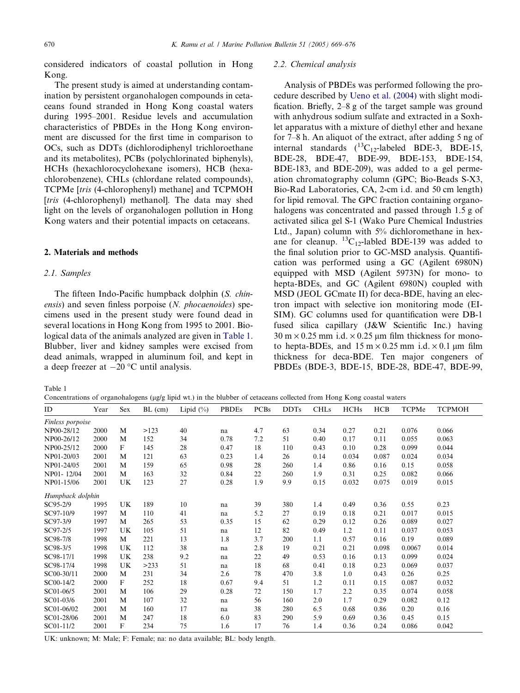<span id="page-1-0"></span>considered indicators of coastal pollution in Hong Kong.

The present study is aimed at understanding contamination by persistent organohalogen compounds in cetaceans found stranded in Hong Kong coastal waters during 1995–2001. Residue levels and accumulation characteristics of PBDEs in the Hong Kong environment are discussed for the first time in comparison to OCs, such as DDTs (dichlorodiphenyl trichloroethane and its metabolites), PCBs (polychlorinated biphenyls), HCHs (hexachlorocyclohexane isomers), HCB (hexachlorobenzene), CHLs (chlordane related compounds), TCPMe [tris (4-chlorophenyl) methane] and TCPMOH [tris (4-chlorophenyl) methanol]. The data may shed light on the levels of organohalogen pollution in Hong Kong waters and their potential impacts on cetaceans.

## 2. Materials and methods

# 2.1. Samples

The fifteen Indo-Pacific humpback dolphin (S. chinensis) and seven finless porpoise (N. phocaenoides) specimens used in the present study were found dead in several locations in Hong Kong from 1995 to 2001. Biological data of the animals analyzed are given in Table 1. Blubber, liver and kidney samples were excised from dead animals, wrapped in aluminum foil, and kept in a deep freezer at  $-20$  °C until analysis.

## 2.2. Chemical analysis

Analysis of PBDEs was performed following the procedure described by [Ueno et al. \(2004\)](#page-7-0) with slight modification. Briefly, 2–8 g of the target sample was ground with anhydrous sodium sulfate and extracted in a Soxhlet apparatus with a mixture of diethyl ether and hexane for 7–8 h. An aliquot of the extract, after adding 5 ng of internal standards  $(^{13}C_{12}$ -labeled BDE-3, BDE-15, BDE-28, BDE-47, BDE-99, BDE-153, BDE-154, BDE-183, and BDE-209), was added to a gel permeation chromatography column (GPC; Bio-Beads S-X3, Bio-Rad Laboratories, CA, 2-cm i.d. and 50 cm length) for lipid removal. The GPC fraction containing organohalogens was concentrated and passed through 1.5 g of activated silica gel S-1 (Wako Pure Chemical Industries Ltd., Japan) column with 5% dichloromethane in hexane for cleanup.  ${}^{13}C_{12}$ -labled BDE-139 was added to the final solution prior to GC-MSD analysis. Quantification was performed using a GC (Agilent 6980N) equipped with MSD (Agilent 5973N) for mono- to hepta-BDEs, and GC (Agilent 6980N) coupled with MSD (JEOL GCmate II) for deca-BDE, having an electron impact with selective ion monitoring mode (EI-SIM). GC columns used for quantification were DB-1 fused silica capillary (J&W Scientific Inc.) having  $30 \text{ m} \times 0.25 \text{ mm}$  i.d.  $\times 0.25 \text{ µm}$  film thickness for monoto hepta-BDEs, and  $15 \text{ m} \times 0.25 \text{ mm}$  i.d.  $\times 0.1 \text{ um film}$ thickness for deca-BDE. Ten major congeners of PBDEs (BDE-3, BDE-15, BDE-28, BDE-47, BDE-99,

Table 1

Concentrations of organohalogens ( $\mu$ g/g lipid wt.) in the blubber of cetaceans collected from Hong Kong coastal waters

| ID               | Year | Sex | $BL$ (cm) | Lipid $(\% )$ | <b>PBDEs</b> | <b>PCBs</b> | <b>DDTs</b> | <b>CHLs</b> | <b>HCHs</b> | <b>HCB</b> | TCPMe  | <b>TCPMOH</b> |
|------------------|------|-----|-----------|---------------|--------------|-------------|-------------|-------------|-------------|------------|--------|---------------|
| Finless porpoise |      |     |           |               |              |             |             |             |             |            |        |               |
| NP00-28/12       | 2000 | M   | >123      | 40            | na           | 4.7         | 63          | 0.34        | 0.27        | 0.21       | 0.076  | 0.066         |
| NP00-26/12       | 2000 | M   | 152       | 34            | 0.78         | 7.2         | 51          | 0.40        | 0.17        | 0.11       | 0.055  | 0.063         |
| NP00-25/12       | 2000 | F   | 145       | 28            | 0.47         | 18          | 110         | 0.43        | 0.10        | 0.28       | 0.099  | 0.044         |
| NP01-20/03       | 2001 | M   | 121       | 63            | 0.23         | 1.4         | 26          | 0.14        | 0.034       | 0.087      | 0.024  | 0.034         |
| NP01-24/05       | 2001 | M   | 159       | 65            | 0.98         | 28          | 260         | 1.4         | 0.86        | 0.16       | 0.15   | 0.058         |
| NP01-12/04       | 2001 | M   | 163       | 32            | 0.84         | 22          | 260         | 1.9         | 0.31        | 0.25       | 0.082  | 0.066         |
| NP01-15/06       | 2001 | UK  | 123       | 27            | 0.28         | 1.9         | 9.9         | 0.15        | 0.032       | 0.075      | 0.019  | 0.015         |
| Humpback dolphin |      |     |           |               |              |             |             |             |             |            |        |               |
| SC95-2/9         | 1995 | UK  | 189       | 10            | na           | 39          | 380         | 1.4         | 0.49        | 0.36       | 0.55   | 0.23          |
| SC97-10/9        | 1997 | M   | 110       | 41            | na           | 5.2         | 27          | 0.19        | 0.18        | 0.21       | 0.017  | 0.015         |
| SC97-3/9         | 1997 | M   | 265       | 53            | 0.35         | 15          | 62          | 0.29        | 0.12        | 0.26       | 0.089  | 0.027         |
| SC97-2/5         | 1997 | UK  | 105       | 51            | na           | 12          | 82          | 0.49        | 1.2         | 0.11       | 0.037  | 0.053         |
| SC98-7/8         | 1998 | M   | 221       | 13            | 1.8          | 3.7         | 200         | 1.1         | 0.57        | 0.16       | 0.19   | 0.089         |
| SC98-3/5         | 1998 | UK  | 112       | 38            | na           | 2.8         | 19          | 0.21        | 0.21        | 0.098      | 0.0067 | 0.014         |
| SC98-17/1        | 1998 | UK  | 238       | 9.2           | na           | 22          | 49          | 0.53        | 0.16        | 0.13       | 0.099  | 0.024         |
| SC98-17/4        | 1998 | UK  | >233      | 51            | na           | 18          | 68          | 0.41        | 0.18        | 0.23       | 0.069  | 0.037         |
| SC00-30/11       | 2000 | M   | 231       | 34            | 2.6          | 78          | 470         | 3.8         | 1.0         | 0.43       | 0.26   | 0.25          |
| SC00-14/2        | 2000 | F   | 252       | 18            | 0.67         | 9.4         | 51          | 1.2         | 0.11        | 0.15       | 0.087  | 0.032         |
| SC01-06/5        | 2001 | M   | 106       | 29            | 0.28         | 72          | 150         | 1.7         | 2.2         | 0.35       | 0.074  | 0.058         |
| SC01-03/6        | 2001 | M   | 107       | 32            | na           | 56          | 160         | 2.0         | 1.7         | 0.29       | 0.082  | 0.12          |
| SC01-06/02       | 2001 | M   | 160       | 17            | na           | 38          | 280         | 6.5         | 0.68        | 0.86       | 0.20   | 0.16          |
| SC01-28/06       | 2001 | M   | 247       | 18            | 6.0          | 83          | 290         | 5.9         | 0.69        | 0.36       | 0.45   | 0.15          |
| SC01-11/2        | 2001 | F   | 234       | 75            | 1.6          | 17          | 76          | 1.4         | 0.36        | 0.24       | 0.086  | 0.042         |

UK: unknown; M: Male; F: Female; na: no data available; BL: body length.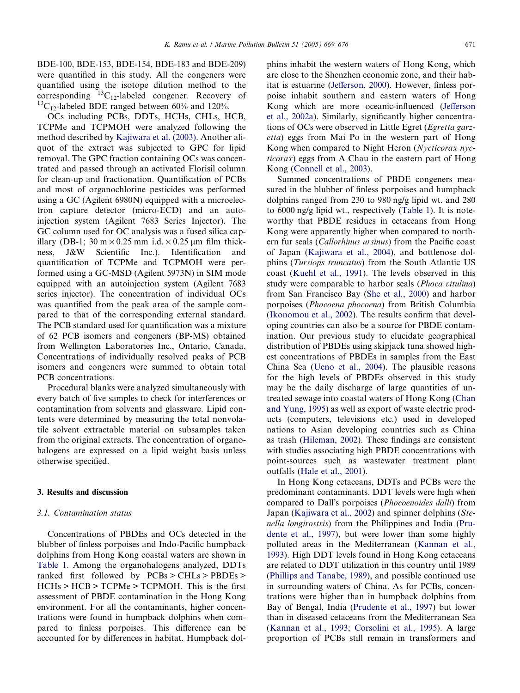BDE-100, BDE-153, BDE-154, BDE-183 and BDE-209) were quantified in this study. All the congeners were quantified using the isotope dilution method to the corresponding  ${}^{13}C_{12}$ -labeled congener. Recovery of  ${}^{13}C_{12}$ -labeled BDE ranged between 60% and 120%.

OCs including PCBs, DDTs, HCHs, CHLs, HCB, TCPMe and TCPMOH were analyzed following the method described by [Kajiwara et al. \(2003\).](#page-6-0) Another aliquot of the extract was subjected to GPC for lipid removal. The GPC fraction containing OCs was concentrated and passed through an activated Florisil column for clean-up and fractionation. Quantification of PCBs and most of organochlorine pesticides was performed using a GC (Agilent 6980N) equipped with a microelectron capture detector (micro-ECD) and an autoinjection system (Agilent 7683 Series Injector). The GC column used for OC analysis was a fused silica capillary (DB-1; 30 m  $\times$  0.25 mm i.d.  $\times$  0.25 µm film thickness, J&W Scientific Inc.). Identification and quantification of TCPMe and TCPMOH were performed using a GC-MSD (Agilent 5973N) in SIM mode equipped with an autoinjection system (Agilent 7683 series injector). The concentration of individual OCs was quantified from the peak area of the sample compared to that of the corresponding external standard. The PCB standard used for quantification was a mixture of 62 PCB isomers and congeners (BP-MS) obtained from Wellington Laboratories Inc., Ontario, Canada. Concentrations of individually resolved peaks of PCB isomers and congeners were summed to obtain total PCB concentrations.

Procedural blanks were analyzed simultaneously with every batch of five samples to check for interferences or contamination from solvents and glassware. Lipid contents were determined by measuring the total nonvolatile solvent extractable material on subsamples taken from the original extracts. The concentration of organohalogens are expressed on a lipid weight basis unless otherwise specified.

## 3. Results and discussion

## 3.1. Contamination status

Concentrations of PBDEs and OCs detected in the blubber of finless porpoises and Indo-Pacific humpback dolphins from Hong Kong coastal waters are shown in [Table 1](#page-1-0). Among the organohalogens analyzed, DDTs ranked first followed by PCBs > CHLs > PBDEs > HCHs > HCB > TCPMe > TCPMOH. This is the first assessment of PBDE contamination in the Hong Kong environment. For all the contaminants, higher concentrations were found in humpback dolphins when compared to finless porpoises. This difference can be accounted for by differences in habitat. Humpback dolphins inhabit the western waters of Hong Kong, which are close to the Shenzhen economic zone, and their habitat is estuarine [\(Jefferson, 2000\)](#page-6-0). However, finless porpoise inhabit southern and eastern waters of Hong Kong which are more oceanic-influenced [\(Jefferson](#page-6-0) [et al., 2002a\)](#page-6-0). Similarly, significantly higher concentrations of OCs were observed in Little Egret (*Egretta garz*etta) eggs from Mai Po in the western part of Hong Kong when compared to Night Heron (Nycticorax nycticorax) eggs from A Chau in the eastern part of Hong Kong [\(Connell et al., 2003\)](#page-6-0).

Summed concentrations of PBDE congeners measured in the blubber of finless porpoises and humpback dolphins ranged from 230 to 980 ng/g lipid wt. and 280 to 6000 ng/g lipid wt., respectively ([Table 1\)](#page-1-0). It is noteworthy that PBDE residues in cetaceans from Hong Kong were apparently higher when compared to northern fur seals (Callorhinus ursinus) from the Pacific coast of Japan ([Kajiwara et al., 2004](#page-6-0)), and bottlenose dolphins (Tursiops truncatus) from the South Atlantic US coast [\(Kuehl et al., 1991\)](#page-6-0). The levels observed in this study were comparable to harbor seals (Phoca vitulina) from San Francisco Bay [\(She et al., 2000](#page-7-0)) and harbor porpoises (Phocoena phocoena) from British Columbia ([Ikonomou et al., 2002\)](#page-6-0). The results confirm that developing countries can also be a source for PBDE contamination. Our previous study to elucidate geographical distribution of PBDEs using skipjack tuna showed highest concentrations of PBDEs in samples from the East China Sea [\(Ueno et al., 2004\)](#page-7-0). The plausible reasons for the high levels of PBDEs observed in this study may be the daily discharge of large quantities of untreated sewage into coastal waters of Hong Kong [\(Chan](#page-6-0) [and Yung, 1995\)](#page-6-0) as well as export of waste electric products (computers, televisions etc.) used in developed nations to Asian developing countries such as China as trash ([Hileman, 2002\)](#page-6-0). These findings are consistent with studies associating high PBDE concentrations with point-sources such as wastewater treatment plant outfalls [\(Hale et al., 2001](#page-6-0)).

In Hong Kong cetaceans, DDTs and PCBs were the predominant contaminants. DDT levels were high when compared to Dall's porpoises *(Phocoenoides dalli)* from Japan [\(Kajiwara et al., 2002\)](#page-6-0) and spinner dolphins (Stenella longirostris) from the Philippines and India ([Pru](#page-7-0)[dente et al., 1997\)](#page-7-0), but were lower than some highly polluted areas in the Mediterranean [\(Kannan et al.,](#page-6-0) [1993](#page-6-0)). High DDT levels found in Hong Kong cetaceans are related to DDT utilization in this country until 1989 ([Phillips and Tanabe, 1989](#page-7-0)), and possible continued use in surrounding waters of China. As for PCBs, concentrations were higher than in humpback dolphins from Bay of Bengal, India ([Prudente et al., 1997](#page-7-0)) but lower than in diseased cetaceans from the Mediterranean Sea ([Kannan et al., 1993;](#page-6-0) [Corsolini et al., 1995\)](#page-6-0). A large proportion of PCBs still remain in transformers and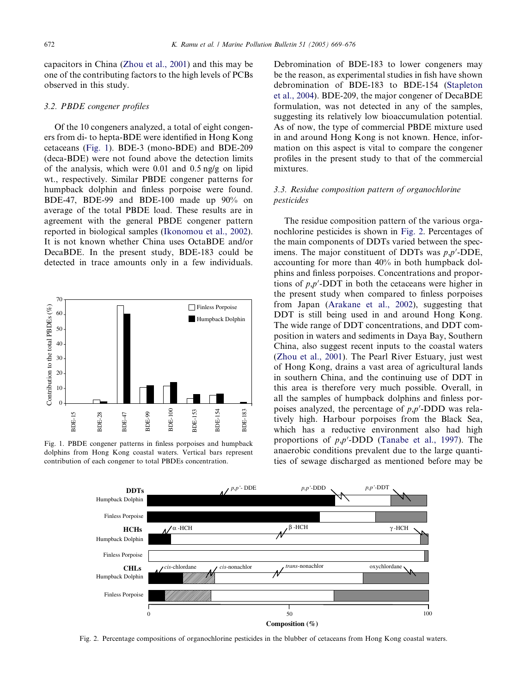capacitors in China ([Zhou et al., 2001](#page-7-0)) and this may be one of the contributing factors to the high levels of PCBs observed in this study.

## 3.2. PBDE congener profiles

Of the 10 congeners analyzed, a total of eight congeners from di- to hepta-BDE were identified in Hong Kong cetaceans (Fig. 1). BDE-3 (mono-BDE) and BDE-209 (deca-BDE) were not found above the detection limits of the analysis, which were 0.01 and 0.5 ng/g on lipid wt., respectively. Similar PBDE congener patterns for humpback dolphin and finless porpoise were found. BDE-47, BDE-99 and BDE-100 made up 90% on average of the total PBDE load. These results are in agreement with the general PBDE congener pattern reported in biological samples [\(Ikonomou et al., 2002\)](#page-6-0). It is not known whether China uses OctaBDE and/or DecaBDE. In the present study, BDE-183 could be detected in trace amounts only in a few individuals.



Fig. 1. PBDE congener patterns in finless porpoises and humpback dolphins from Hong Kong coastal waters. Vertical bars represent contribution of each congener to total PBDEs concentration.

Debromination of BDE-183 to lower congeners may be the reason, as experimental studies in fish have shown debromination of BDE-183 to BDE-154 ([Stapleton](#page-7-0) [et al., 2004\)](#page-7-0). BDE-209, the major congener of DecaBDE formulation, was not detected in any of the samples, suggesting its relatively low bioaccumulation potential. As of now, the type of commercial PBDE mixture used in and around Hong Kong is not known. Hence, information on this aspect is vital to compare the congener profiles in the present study to that of the commercial mixtures.

# 3.3. Residue composition pattern of organochlorine pesticides

The residue composition pattern of the various organochlorine pesticides is shown in Fig. 2. Percentages of the main components of DDTs varied between the specimens. The major constituent of DDTs was  $p, p'$ -DDE, accounting for more than 40% in both humpback dolphins and finless porpoises. Concentrations and proportions of  $p, p'$ -DDT in both the cetaceans were higher in the present study when compared to finless porpoises from Japan ([Arakane et al., 2002\)](#page-6-0), suggesting that DDT is still being used in and around Hong Kong. The wide range of DDT concentrations, and DDT composition in waters and sediments in Daya Bay, Southern China, also suggest recent inputs to the coastal waters ([Zhou et al., 2001](#page-7-0)). The Pearl River Estuary, just west of Hong Kong, drains a vast area of agricultural lands in southern China, and the continuing use of DDT in this area is therefore very much possible. Overall, in all the samples of humpback dolphins and finless porpoises analyzed, the percentage of  $p, p'$ -DDD was relatively high. Harbour porpoises from the Black Sea, which has a reductive environment also had high proportions of  $p, p'$ -DDD ([Tanabe et al., 1997\)](#page-7-0). The anaerobic conditions prevalent due to the large quantities of sewage discharged as mentioned before may be



Fig. 2. Percentage compositions of organochlorine pesticides in the blubber of cetaceans from Hong Kong coastal waters.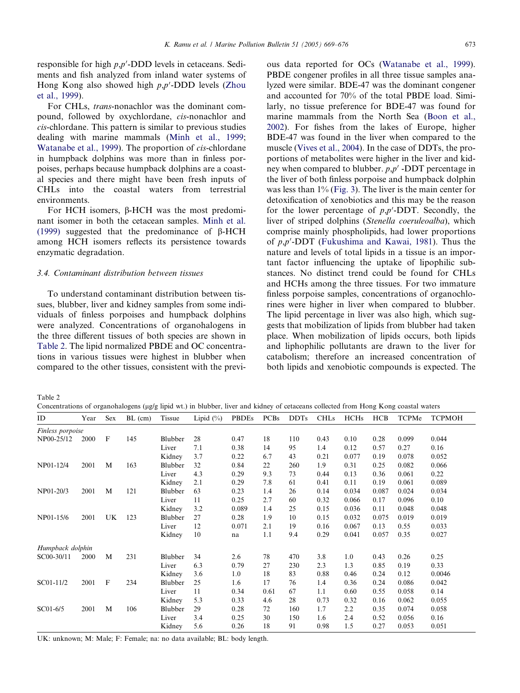responsible for high  $p, p'$ -DDD levels in cetaceans. Sediments and fish analyzed from inland water systems of Hong Kong also showed high  $p, p'$ -DDD levels [\(Zhou](#page-7-0) [et al., 1999\)](#page-7-0).

For CHLs, trans-nonachlor was the dominant compound, followed by oxychlordane, cis-nonachlor and cis-chlordane. This pattern is similar to previous studies dealing with marine mammals ([Minh et al., 1999;](#page-7-0) [Watanabe et al., 1999](#page-7-0)). The proportion of cis-chlordane in humpback dolphins was more than in finless porpoises, perhaps because humpback dolphins are a coastal species and there might have been fresh inputs of CHLs into the coastal waters from terrestrial environments.

For HCH isomers,  $\beta$ -HCH was the most predominant isomer in both the cetacean samples. [Minh et al.](#page-7-0) [\(1999\)](#page-7-0) suggested that the predominance of  $\beta$ -HCH among HCH isomers reflects its persistence towards enzymatic degradation.

### 3.4. Contaminant distribution between tissues

To understand contaminant distribution between tissues, blubber, liver and kidney samples from some individuals of finless porpoises and humpback dolphins were analyzed. Concentrations of organohalogens in the three different tissues of both species are shown in Table 2. The lipid normalized PBDE and OC concentrations in various tissues were highest in blubber when compared to the other tissues, consistent with the previous data reported for OCs ([Watanabe et al., 1999\)](#page-7-0). PBDE congener profiles in all three tissue samples analyzed were similar. BDE-47 was the dominant congener and accounted for 70% of the total PBDE load. Similarly, no tissue preference for BDE-47 was found for marine mammals from the North Sea [\(Boon et al.,](#page-6-0) [2002](#page-6-0)). For fishes from the lakes of Europe, higher BDE-47 was found in the liver when compared to the muscle [\(Vives et al., 2004](#page-7-0)). In the case of DDTs, the proportions of metabolites were higher in the liver and kidney when compared to blubber.  $p, p'$  -DDT percentage in the liver of both finless porpoise and humpback dolphin was less than 1% [\(Fig. 3\)](#page-5-0). The liver is the main center for detoxification of xenobiotics and this may be the reason for the lower percentage of  $p, p'$ -DDT. Secondly, the liver of striped dolphins (Stenella coeruleoalba), which comprise mainly phospholipids, had lower proportions of  $p, p'$ -DDT ([Fukushima and Kawai, 1981\)](#page-6-0). Thus the nature and levels of total lipids in a tissue is an important factor influencing the uptake of lipophilic substances. No distinct trend could be found for CHLs and HCHs among the three tissues. For two immature finless porpoise samples, concentrations of organochlorines were higher in liver when compared to blubber. The lipid percentage in liver was also high, which suggests that mobilization of lipids from blubber had taken place. When mobilization of lipids occurs, both lipids and liphophilic pollutants are drawn to the liver for catabolism; therefore an increased concentration of both lipids and xenobiotic compounds is expected. The

Table 2

Concentrations of organohalogens ( $\mu$ g/g lipid wt.) in blubber, liver and kidney of cetaceans collected from Hong Kong coastal waters

| ID               | Year | Sex | $BL$ (cm) | Tissue  | Lipid $(\%)$ | <b>PBDEs</b> | <b>PCBs</b> | <b>DDTs</b> | <b>CHLs</b> | <b>HCHs</b> | <b>HCB</b> | TCPMe | <b>TCPMOH</b> |
|------------------|------|-----|-----------|---------|--------------|--------------|-------------|-------------|-------------|-------------|------------|-------|---------------|
| Finless porpoise |      |     |           |         |              |              |             |             |             |             |            |       |               |
| NP00-25/12       | 2000 | F   | 145       | Blubber | 28           | 0.47         | 18          | 110         | 0.43        | 0.10        | 0.28       | 0.099 | 0.044         |
|                  |      |     |           | Liver   | 7.1          | 0.38         | 14          | 95          | 1.4         | 0.12        | 0.57       | 0.27  | 0.16          |
|                  |      |     |           | Kidney  | 3.7          | 0.22         | 6.7         | 43          | 0.21        | 0.077       | 0.19       | 0.078 | 0.052         |
| NP01-12/4        | 2001 | M   | 163       | Blubber | 32           | 0.84         | 22          | 260         | 1.9         | 0.31        | 0.25       | 0.082 | 0.066         |
|                  |      |     |           | Liver   | 4.3          | 0.29         | 9.3         | 73          | 0.44        | 0.13        | 0.36       | 0.061 | 0.22          |
|                  |      |     |           | Kidney  | 2.1          | 0.29         | 7.8         | 61          | 0.41        | 0.11        | 0.19       | 0.061 | 0.089         |
| NP01-20/3        | 2001 | M   | 121       | Blubber | 63           | 0.23         | 1.4         | 26          | 0.14        | 0.034       | 0.087      | 0.024 | 0.034         |
|                  |      |     |           | Liver   | 11           | 0.25         | 2.7         | 60          | 0.32        | 0.066       | 0.17       | 0.096 | 0.10          |
|                  |      |     |           | Kidney  | 3.2          | 0.089        | 1.4         | 25          | 0.15        | 0.036       | 0.11       | 0.048 | 0.048         |
| NP01-15/6        | 2001 | UK  | 123       | Blubber | 27           | 0.28         | 1.9         | 10          | 0.15        | 0.032       | 0.075      | 0.019 | 0.019         |
|                  |      |     |           | Liver   | 12           | 0.071        | 2.1         | 19          | 0.16        | 0.067       | 0.13       | 0.55  | 0.033         |
|                  |      |     |           | Kidney  | 10           | na           | 1.1         | 9.4         | 0.29        | 0.041       | 0.057      | 0.35  | 0.027         |
| Humpback dolphin |      |     |           |         |              |              |             |             |             |             |            |       |               |
| SC00-30/11       | 2000 | M   | 231       | Blubber | 34           | 2.6          | 78          | 470         | 3.8         | 1.0         | 0.43       | 0.26  | 0.25          |
|                  |      |     |           | Liver   | 6.3          | 0.79         | 27          | 230         | 2.3         | 1.3         | 0.85       | 0.19  | 0.33          |
|                  |      |     |           | Kidney  | 3.6          | 1.0          | 18          | 83          | 0.88        | 0.46        | 0.24       | 0.12  | 0.0046        |
| SC01-11/2        | 2001 | F   | 234       | Blubber | 25           | 1.6          | 17          | 76          | 1.4         | 0.36        | 0.24       | 0.086 | 0.042         |
|                  |      |     |           | Liver   | 11           | 0.34         | 0.61        | 67          | 1.1         | 0.60        | 0.55       | 0.058 | 0.14          |
|                  |      |     |           | Kidney  | 5.3          | 0.33         | 4.6         | 28          | 0.73        | 0.32        | 0.16       | 0.062 | 0.055         |
| SC01-6/5         | 2001 | M   | 106       | Blubber | 29           | 0.28         | 72          | 160         | 1.7         | 2.2         | 0.35       | 0.074 | 0.058         |
|                  |      |     |           | Liver   | 3.4          | 0.25         | 30          | 150         | 1.6         | 2.4         | 0.52       | 0.056 | 0.16          |
|                  |      |     |           | Kidney  | 5.6          | 0.26         | 18          | 91          | 0.98        | 1.5         | 0.27       | 0.053 | 0.051         |

UK: unknown; M: Male; F: Female; na: no data available; BL: body length.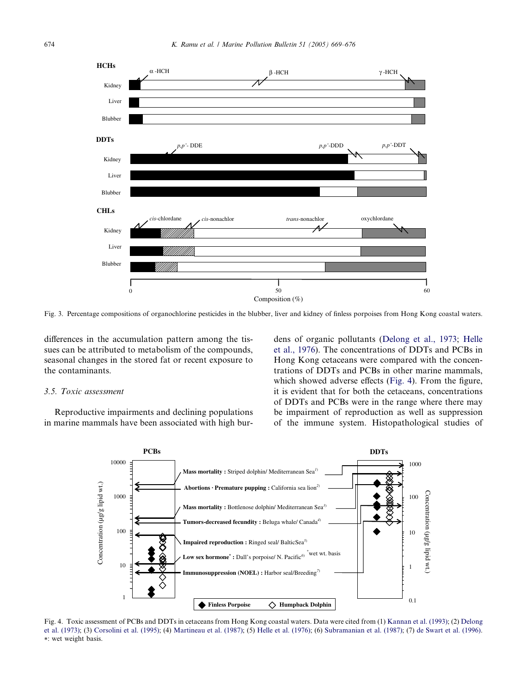<span id="page-5-0"></span>

Fig. 3. Percentage compositions of organochlorine pesticides in the blubber, liver and kidney of finless porpoises from Hong Kong coastal waters.

differences in the accumulation pattern among the tissues can be attributed to metabolism of the compounds, seasonal changes in the stored fat or recent exposure to the contaminants.

#### 3.5. Toxic assessment

Reproductive impairments and declining populations in marine mammals have been associated with high burdens of organic pollutants ([Delong et al., 1973](#page-6-0); [Helle](#page-6-0) [et al., 1976\)](#page-6-0). The concentrations of DDTs and PCBs in Hong Kong cetaceans were compared with the concentrations of DDTs and PCBs in other marine mammals, which showed adverse effects (Fig. 4). From the figure, it is evident that for both the cetaceans, concentrations of DDTs and PCBs were in the range where there may be impairment of reproduction as well as suppression of the immune system. Histopathological studies of



Fig. 4. Toxic assessment of PCBs and DDTs in cetaceans from Hong Kong coastal waters. Data were cited from (1) [Kannan et al. \(1993\);](#page-6-0) (2) [Delong](#page-6-0) [et al. \(1973\)](#page-6-0); (3) [Corsolini et al. \(1995\)](#page-6-0); (4) [Martineau et al. \(1987\)](#page-6-0); (5) [Helle et al. \(1976\)](#page-6-0); (6) [Subramanian et al. \(1987\);](#page-7-0) (7) [de Swart et al. \(1996\).](#page-6-0) \*: wet weight basis.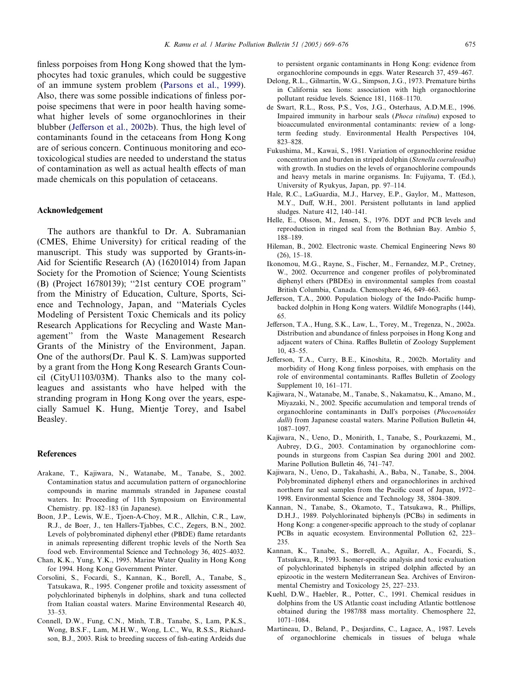<span id="page-6-0"></span>finless porpoises from Hong Kong showed that the lymphocytes had toxic granules, which could be suggestive of an immune system problem [\(Parsons et al., 1999\)](#page-7-0). Also, there was some possible indications of finless porpoise specimens that were in poor health having somewhat higher levels of some organochlorines in their blubber (Jefferson et al., 2002b). Thus, the high level of contaminants found in the cetaceans from Hong Kong are of serious concern. Continuous monitoring and ecotoxicological studies are needed to understand the status of contamination as well as actual health effects of man made chemicals on this population of cetaceans.

## Acknowledgement

The authors are thankful to Dr. A. Subramanian (CMES, Ehime University) for critical reading of the manuscript. This study was supported by Grants-in-Aid for Scientific Research (A) (16201014) from Japan Society for the Promotion of Science; Young Scientists (B) (Project 16780139); ''21st century COE program'' from the Ministry of Education, Culture, Sports, Science and Technology, Japan, and ''Materials Cycles Modeling of Persistent Toxic Chemicals and its policy Research Applications for Recycling and Waste Management'' from the Waste Management Research Grants of the Ministry of the Environment, Japan. One of the authors(Dr. Paul K. S. Lam)was supported by a grant from the Hong Kong Research Grants Council (CityU1103/03M). Thanks also to the many colleagues and assistants who have helped with the stranding program in Hong Kong over the years, especially Samuel K. Hung, Mientje Torey, and Isabel Beasley.

### References

- Arakane, T., Kajiwara, N., Watanabe, M., Tanabe, S., 2002. Contamination status and accumulation pattern of organochlorine compounds in marine mammals stranded in Japanese coastal waters. In: Proceeding of 11th Symposium on Environmental Chemistry. pp. 182–183 (in Japanese).
- Boon, J.P., Lewis, W.E., Tjoen-A-Choy, M.R., Allchin, C.R., Law, R.J., de Boer, J., ten Hallers-Tjabbes, C.C., Zegers, B.N., 2002. Levels of polybrominated diphenyl ether (PBDE) flame retardants in animals representing different trophic levels of the North Sea food web. Environmental Science and Technology 36, 4025–4032.
- Chan, K.K., Yung, Y.K., 1995. Marine Water Quality in Hong Kong for 1994. Hong Kong Government Printer.
- Corsolini, S., Focardi, S., Kannan, K., Borell, A., Tanabe, S., Tatsukawa, R., 1995. Congener profile and toxicity assessment of polychlorinated biphenyls in dolphins, shark and tuna collected from Italian coastal waters. Marine Environmental Research 40, 33–53.
- Connell, D.W., Fung, C.N., Minh, T.B., Tanabe, S., Lam, P.K.S., Wong, B.S.F., Lam, M.H.W., Wong, L.C., Wu, R.S.S., Richardson, B.J., 2003. Risk to breeding success of fish-eating Ardeids due

to persistent organic contaminants in Hong Kong: evidence from organochlorine compounds in eggs. Water Research 37, 459–467.

- Delong, R.L., Gilmartin, W.G., Simpson, J.G., 1973. Premature births in California sea lions: association with high organochlorine pollutant residue levels. Science 181, 1168–1170.
- de Swart, R.L., Ross, P.S., Vos, J.G., Osterhaus, A.D.M.E., 1996. Impaired immunity in harbour seals (Phoca vitulina) exposed to bioaccumulated environmental contaminants: review of a longterm feeding study. Environmental Health Perspectives 104, 823–828.
- Fukushima, M., Kawai, S., 1981. Variation of organochlorine residue concentration and burden in striped dolphin (Stenella coeruleoalba) with growth. In studies on the levels of organochlorine compounds and heavy metals in marine organisms. In: Fujiyama, T. (Ed.), University of Ryukyus, Japan, pp. 97–114.
- Hale, R.C., LaGuardia, M.J., Harvey, E.P., Gaylor, M., Matteson, M.Y., Duff, W.H., 2001. Persistent pollutants in land applied sludges. Nature 412, 140–141.
- Helle, E., Olsson, M., Jensen, S., 1976. DDT and PCB levels and reproduction in ringed seal from the Bothnian Bay. Ambio 5, 188–189.
- Hileman, B., 2002. Electronic waste. Chemical Engineering News 80 (26), 15–18.
- Ikonomou, M.G., Rayne, S., Fischer, M., Fernandez, M.P., Cretney, W., 2002. Occurrence and congener profiles of polybrominated diphenyl ethers (PBDEs) in environmental samples from coastal British Columbia, Canada. Chemosphere 46, 649–663.
- Jefferson, T.A., 2000. Population biology of the Indo-Pacific humpbacked dolphin in Hong Kong waters. Wildlife Monographs (144), 65.
- Jefferson, T.A., Hung, S.K., Law, L., Torey, M., Tregenza, N., 2002a. Distribution and abundance of finless porpoises in Hong Kong and adjacent waters of China. Raffles Bulletin of Zoology Supplement 10, 43–55.
- Jefferson, T.A., Curry, B.E., Kinoshita, R., 2002b. Mortality and morbidity of Hong Kong finless porpoises, with emphasis on the role of environmental contaminants. Raffles Bulletin of Zoology Supplement 10, 161–171.
- Kajiwara, N., Watanabe, M., Tanabe, S., Nakamatsu, K., Amano, M., Miyazaki, N., 2002. Specific accumulation and temporal trends of organochlorine contaminants in Dall's porpoises (Phocoenoides dalli) from Japanese coastal waters. Marine Pollution Bulletin 44, 1087–1097.
- Kajiwara, N., Ueno, D., Monirith, I., Tanabe, S., Pourkazemi, M., Aubrey, D.G., 2003. Contamination by organochlorine compounds in sturgeons from Caspian Sea during 2001 and 2002. Marine Pollution Bulletin 46, 741–747.
- Kajiwara, N., Ueno, D., Takahashi, A., Baba, N., Tanabe, S., 2004. Polybrominated diphenyl ethers and organochlorines in archived northern fur seal samples from the Pacific coast of Japan, 1972– 1998. Environmental Science and Technology 38, 3804–3809.
- Kannan, N., Tanabe, S., Okamoto, T., Tatsukawa, R., Phillips, D.H.J., 1989. Polychlorinated biphenyls (PCBs) in sediments in Hong Kong: a congener-specific approach to the study of coplanar PCBs in aquatic ecosystem. Environmental Pollution 62, 223– 235.
- Kannan, K., Tanabe, S., Borrell, A., Aguilar, A., Focardi, S., Tatsukawa, R., 1993. Isomer-specific analysis and toxic evaluation of polychlorinated biphenyls in striped dolphin affected by an epizootic in the western Mediterranean Sea. Archives of Environmental Chemistry and Toxicology 25, 227–233.
- Kuehl, D.W., Haebler, R., Potter, C., 1991. Chemical residues in dolphins from the US Atlantic coast including Atlantic bottlenose obtained during the 1987/88 mass mortality. Chemosphere 22, 1071–1084.
- Martineau, D., Beland, P., Desjardins, C., Lagace, A., 1987. Levels of organochlorine chemicals in tissues of beluga whale